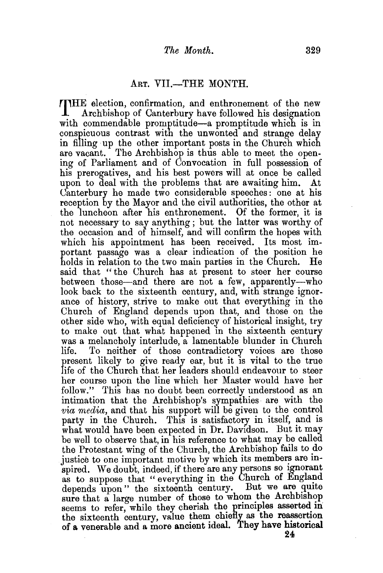## ART. VII.-THE MONTH.

THE election, confirmation, and enthronement of the new Archbishop of Canterbury have followed his designation with commendable promptitude—a promptitude which is in conspicuous contrast with the unwonted and strange delay in filling up the other important posts in the Church which are vacant. The Archbishop is thus able to meet the opening of Parliament and of Convocation in full possession of his prerogatives, and his best powers will at once be called upon to deal with the problems that are awaiting him. At Canterbury he made two considerable speeches: one at his reception by the Mayor and the civil authorities, the other at the luncheon after his enthronement. Of the former, it is not necessary to say anything ; but the latter was worthy of the occasion and of himself, and will confirm the hopes with which his appointment has been received. Its most important passage was a clear indication of the position he holds in relation to the two main parties in the Church. He said that "the Uhurch has at present to steer her course between those—and there are not a few, apparently—who look back to the sixteenth century, and, with strange ignorance of history, strive to make out that everything in the Church of England depends upon that, and those on the other side who, with equal deficiency of historical insight, try to make out that what happened in the sixteenth century was a melancholy interlude, a lamentable blunder in Church life. To neither of those contradictory voices are those present likely to give ready ear, but it is vital to the true life of the Church that her leaders should endeavour to steer her course upon the line which her Master would have her follow." This has no doubt been correctly understood as an intimation that the Archbishop's sympathies are with the *via media,* and that his support will be given to the control party in the Church. This is satisfactory in itself, and is what would have been expected in Dr. Davidson. But it may be well to observe that, in his reference to what may be called the Protestant wing of the Church, the Archbishop fails to do justice to one important motive by which its members are inspired. We doubt, indeed, if there are any persons so ignorant as to suppose that " everything in the Church of England depends upon" the sixteenth century. But we are quite sure that a large number of those to whom the Archbishop seems to refer, while they cherish the principles asserted in the sixteenth century, value them chiefly as the reassertion of a venerable and a more ancient ideal. They have historical 24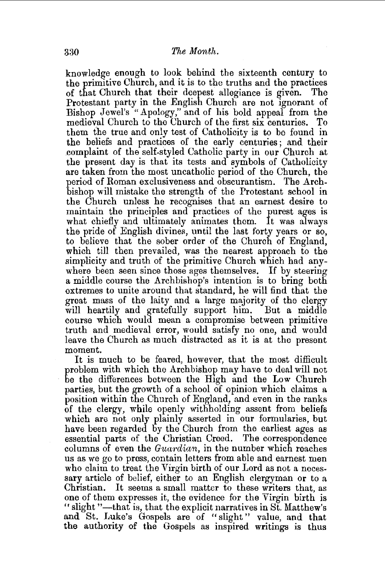knowledge enough to look behind the sixteenth century to the primitive Church, and it is to the truths and the practices of that Church that their deepest allegiance is given. The Protestant party in the English Church are not ignorant of Bishop Jewel's "Apology," and of his bold appeal from the medieval Church to the Church of the first six centuries. To them the true and only test of Catholicity is to be found in the beliefs and practices of the early centuries ; and their .complaint of the self-styled Catholic party in our Church at the present day is that its tests and symbols of Catholicity are taken from the most uncatholic period of the Church, the period of Roman exclusiveness and obscurantism. The Archbishop will mistake the strength of the Protestant school in the Church unless he recognises that an earnest desire to maintain the principles and practices of the purest ages is what chiefly and ultimately animates them. It was always the pride of English divines, until the last forty years or so, to believe that the sober order of the Church of England, which till then prevailed, was the nearest approach to the simplicity and truth of the primitive Church which had anywhere been seen since those ages themselves. If by steering a middle course the Archbishop's intention is to bring both extremes to unite around that standard, he will find that the great mass of the laity and a large majority of the clergy will heartily and gratefully support him. But a middle course which would mean a compromise between primitive truth and medieval error, would satisfy no one, and would leave the Church as much distracted as it is at the present moment.

It is much to be feared, however, that the most difficult problem with which the Archbishop may have to deal will not be the differences between the High and the Low Church parties, but the growth of a school of opinion which claims a position within the Church of England, and even in the ranks of the clergy, while openly withholding assent from beliefs which are not only plainly asserted in our formularies, but have been regarded by the Church from the earliest ages as essential parts of the Christian Creed. The correspondence columns of even the *Guardian,* in the number which reaches us as we go to press, contain letters from able and earnest men who claim to treat the Virgin birth of our Lord as not a necessary article of belief, either to an English clergyman or to a Christian. It seems a small matter to these writers that, as one of them expresses it, the evidence for the Virgin birth is "slight "-that is, that the explicit narratives in St. Matthew's and St. Luke's Gospels are of "slight" value, and that the authority of the Gospels as inspired writings is thus